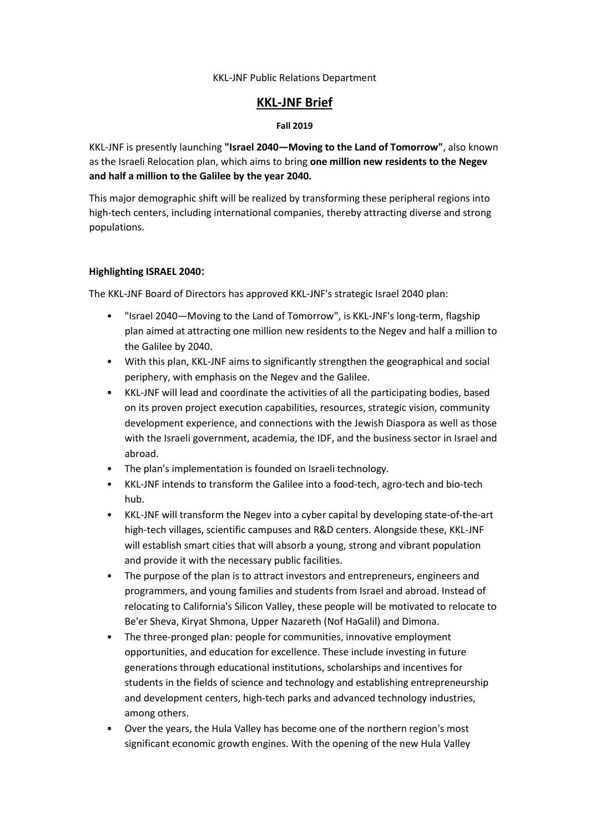#### KKL-JNF Public Relations Department

# **KKL-JNF Brief**

### **Fall 2019**

KKL-JNF is presently launching **"Israel 2040—Moving to the Land of Tomorrow"**, also known as the Israeli Relocation plan, which aims to bring **one million new residents to the Negev and half a million to the Galilee by the year 2040.**

This major demographic shift will be realized by transforming these peripheral regions into high-tech centers, including international companies, thereby attracting diverse and strong populations.

### **Highlighting ISRAEL 2040:**

The KKL-JNF Board of Directors has approved KKL-JNF's strategic Israel 2040 plan:

- "Israel 2040—Moving to the Land of Tomorrow", is KKL-JNF's long-term, flagship plan aimed at attracting one million new residents to the Negev and half a million to the Galilee by 2040.
- With this plan, KKL-JNF aims to significantly strengthen the geographical and social periphery, with emphasis on the Negev and the Galilee.
- KKL-JNF will lead and coordinate the activities of all the participating bodies, based on its proven project execution capabilities, resources, strategic vision, community development experience, and connections with the Jewish Diaspora as well as those with the Israeli government, academia, the IDF, and the business sector in Israel and abroad.
- The plan's implementation is founded on Israeli technology.
- KKL-JNF intends to transform the Galilee into a food-tech, agro-tech and bio-tech hub.
- KKL-JNF will transform the Negev into a cyber capital by developing state-of-the-art high-tech villages, scientific campuses and R&D centers. Alongside these, KKL-JNF will establish smart cities that will absorb a young, strong and vibrant population and provide it with the necessary public facilities.
- The purpose of the plan is to attract investors and entrepreneurs, engineers and programmers, and young families and students from Israel and abroad. Instead of relocating to California's Silicon Valley, these people will be motivated to relocate to Be'er Sheva, Kiryat Shmona, Upper Nazareth (Nof HaGalil) and Dimona.
- The three-pronged plan: people for communities, innovative employment opportunities, and education for excellence. These include investing in future generations through educational institutions, scholarships and incentives for students in the fields of science and technology and establishing entrepreneurship and development centers, high-tech parks and advanced technology industries, among others.
- Over the years, the Hula Valley has become one of the northern region's most significant economic growth engines. With the opening of the new Hula Valley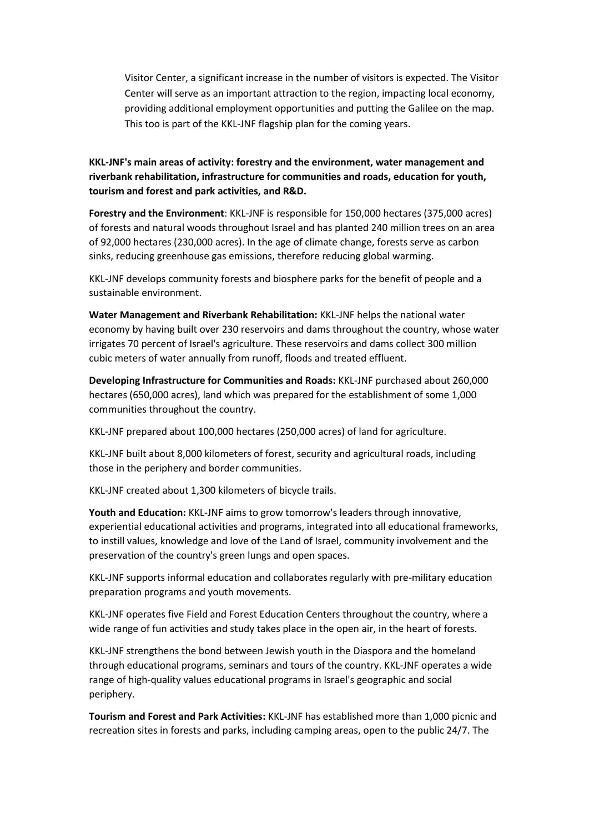Visitor Center, a significant increase in the number of visitors is expected. The Visitor Center will serve as an important attraction to the region, impacting local economy, providing additional employment opportunities and putting the Galilee on the map. This too is part of the KKL-JNF flagship plan for the coming years.

# **KKL-JNF's main areas of activity: forestry and the environment, water management and riverbank rehabilitation, infrastructure for communities and roads, education for youth, tourism and forest and park activities, and R&D.**

**Forestry and the Environment**: KKL-JNF is responsible for 150,000 hectares (375,000 acres) of forests and natural woods throughout Israel and has planted 240 million trees on an area of 92,000 hectares (230,000 acres). In the age of climate change, forests serve as carbon sinks, reducing greenhouse gas emissions, therefore reducing global warming.

KKL-JNF develops community forests and biosphere parks for the benefit of people and a sustainable environment.

**Water Management and Riverbank Rehabilitation:** KKL-JNF helps the national water economy by having built over 230 reservoirs and dams throughout the country, whose water irrigates 70 percent of Israel's agriculture. These reservoirs and dams collect 300 million cubic meters of water annually from runoff, floods and treated effluent.

**Developing Infrastructure for Communities and Roads:** KKL-JNF purchased about 260,000 hectares (650,000 acres), land which was prepared for the establishment of some 1,000 communities throughout the country.

KKL-JNF prepared about 100,000 hectares (250,000 acres) of land for agriculture.

KKL-JNF built about 8,000 kilometers of forest, security and agricultural roads, including those in the periphery and border communities.

KKL-JNF created about 1,300 kilometers of bicycle trails.

**Youth and Education:** KKL-JNF aims to grow tomorrow's leaders through innovative, experiential educational activities and programs, integrated into all educational frameworks, to instill values, knowledge and love of the Land of Israel, community involvement and the preservation of the country's green lungs and open spaces.

KKL-JNF supports informal education and collaborates regularly with pre-military education preparation programs and youth movements.

KKL-JNF operates five Field and Forest Education Centers throughout the country, where a wide range of fun activities and study takes place in the open air, in the heart of forests.

KKL-JNF strengthens the bond between Jewish youth in the Diaspora and the homeland through educational programs, seminars and tours of the country. KKL-JNF operates a wide range of high-quality values educational programs in Israel's geographic and social periphery.

**Tourism and Forest and Park Activities:** KKL-JNF has established more than 1,000 picnic and recreation sites in forests and parks, including camping areas, open to the public 24/7. The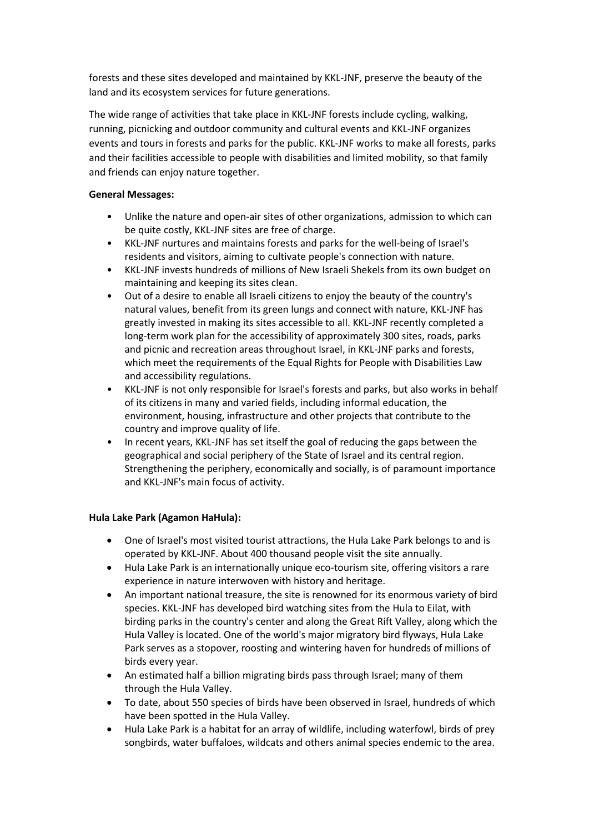forests and these sites developed and maintained by KKL-JNF, preserve the beauty of the land and its ecosystem services for future generations.

The wide range of activities that take place in KKL-JNF forests include cycling, walking, running, picnicking and outdoor community and cultural events and KKL-JNF organizes events and tours in forests and parks for the public. KKL-JNF works to make all forests, parks and their facilities accessible to people with disabilities and limited mobility, so that family and friends can enjoy nature together.

### **General Messages:**

- Unlike the nature and open-air sites of other organizations, admission to which can be quite costly, KKL-JNF sites are free of charge.
- KKL-JNF nurtures and maintains forests and parks for the well-being of Israel's residents and visitors, aiming to cultivate people's connection with nature.
- KKL-JNF invests hundreds of millions of New Israeli Shekels from its own budget on maintaining and keeping its sites clean.
- Out of a desire to enable all Israeli citizens to enjoy the beauty of the country's natural values, benefit from its green lungs and connect with nature, KKL-JNF has greatly invested in making its sites accessible to all. KKL-JNF recently completed a long-term work plan for the accessibility of approximately 300 sites, roads, parks and picnic and recreation areas throughout Israel, in KKL-JNF parks and forests, which meet the requirements of the Equal Rights for People with Disabilities Law and accessibility regulations.
- KKL-JNF is not only responsible for Israel's forests and parks, but also works in behalf of its citizens in many and varied fields, including informal education, the environment, housing, infrastructure and other projects that contribute to the country and improve quality of life.
- In recent years, KKL-JNF has set itself the goal of reducing the gaps between the geographical and social periphery of the State of Israel and its central region. Strengthening the periphery, economically and socially, is of paramount importance and KKL-JNF's main focus of activity.

# **Hula Lake Park (Agamon HaHula):**

- One of Israel's most visited tourist attractions, the Hula Lake Park belongs to and is operated by KKL-JNF. About 400 thousand people visit the site annually.
- Hula Lake Park is an internationally unique eco-tourism site, offering visitors a rare experience in nature interwoven with history and heritage.
- An important national treasure, the site is renowned for its enormous variety of bird species. KKL-JNF has developed bird watching sites from the Hula to Eilat, with birding parks in the country's center and along the Great Rift Valley, along which the Hula Valley is located. One of the world's major migratory bird flyways, Hula Lake Park serves as a stopover, roosting and wintering haven for hundreds of millions of birds every year.
- An estimated half a billion migrating birds pass through Israel; many of them through the Hula Valley.
- To date, about 550 species of birds have been observed in Israel, hundreds of which have been spotted in the Hula Valley.
- Hula Lake Park is a habitat for an array of wildlife, including waterfowl, birds of prey songbirds, water buffaloes, wildcats and others animal species endemic to the area.